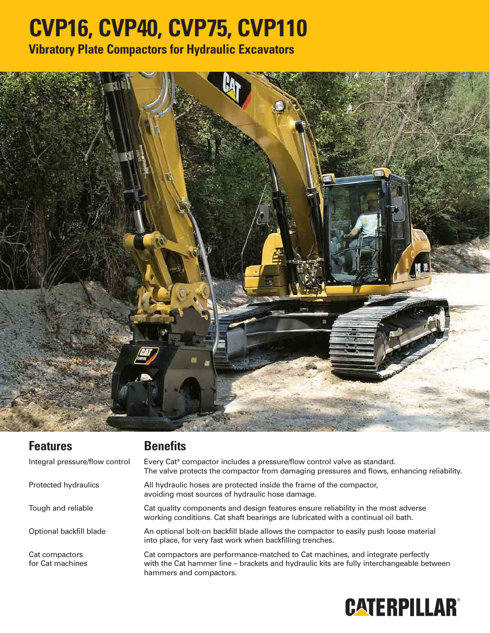## **CVP16, CVP40, CVP75, CVP110**

**Vibratory Plate Compactors for Hydraulic Excavators**



| <b>Features</b>                    | <b>Benefits</b>                                                                                                                                                                                        |
|------------------------------------|--------------------------------------------------------------------------------------------------------------------------------------------------------------------------------------------------------|
| Integral pressure/flow control     | Every Cat® compactor includes a pressure/flow control valve as standard.<br>The valve protects the compactor from damaging pressures and flows, enhancing reliability.                                 |
| Protected hydraulics               | All hydraulic hoses are protected inside the frame of the compactor,<br>avoiding most sources of hydraulic hose damage.                                                                                |
| Tough and reliable                 | Cat quality components and design features ensure reliability in the most adverse<br>working conditions. Cat shaft bearings are lubricated with a continual oil bath.                                  |
| Optional backfill blade            | An optional bolt-on backfill blade allows the compactor to easily push loose material<br>into place, for very fast work when backfilling trenches.                                                     |
| Cat compactors<br>for Cat machines | Cat compactors are performance-matched to Cat machines, and integrate perfectly<br>with the Cat hammer line – brackets and hydraulic kits are fully interchangeable between<br>hammers and compactors. |